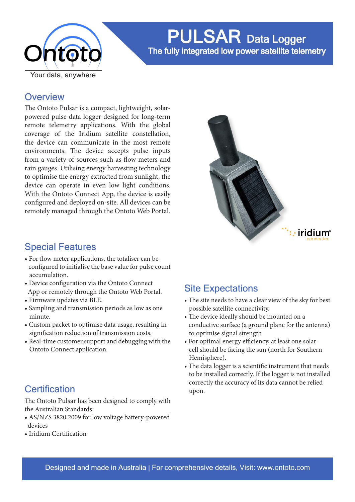

PULSAR Data Logger The fully integrated low power satellite telemetry

### **Overview**

The Ontoto Pulsar is a compact, lightweight, solarpowered pulse data logger designed for long-term remote telemetry applications. With the global coverage of the Iridium satellite constellation, the device can communicate in the most remote environments. The device accepts pulse inputs from a variety of sources such as flow meters and rain gauges. Utilising energy harvesting technology to optimise the energy extracted from sunlight, the device can operate in even low light conditions. With the Ontoto Connect App, the device is easily configured and deployed on-site. All devices can be remotely managed through the Ontoto Web Portal.



### Special Features

- For flow meter applications, the totaliser can be configured to initialise the base value for pulse count accumulation.
- Device configuration via the Ontoto Connect App or remotely through the Ontoto Web Portal.
- Firmware updates via BLE.
- Sampling and transmission periods as low as one minute.
- Custom packet to optimise data usage, resulting in signification reduction of transmission costs.
- Real-time customer support and debugging with the Ontoto Connect application.

## Site Expectations

- The site needs to have a clear view of the sky for best possible satellite connectivity.
- The device ideally should be mounted on a conductive surface (a ground plane for the antenna) to optimise signal strength
- For optimal energy efficiency, at least one solar cell should be facing the sun (north for Southern Hemisphere).
- The data logger is a scientific instrument that needs to be installed correctly. If the logger is not installed correctly the accuracy of its data cannot be relied upon.

## **Certification**

The Ontoto Pulsar has been designed to comply with the Australian Standards:

- AS/NZS 3820:2009 for low voltage battery-powered devices
- Iridium Certification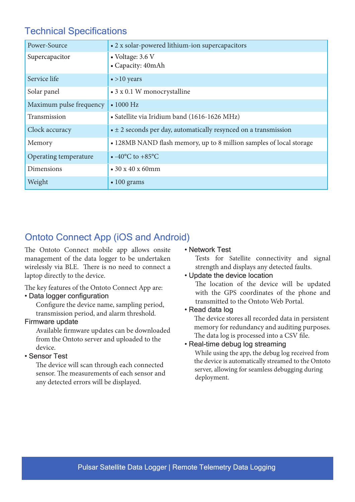## Technical Specifications

| Power-Source            | • 2 x solar-powered lithium-ion supercapacitors                           |
|-------------------------|---------------------------------------------------------------------------|
| Supercapacitor          | • Voltage: 3.6 V<br>• Capacity: 40mAh                                     |
| Service life            | $\bullet$ >10 years                                                       |
| Solar panel             | • 3 x 0.1 W monocrystalline                                               |
| Maximum pulse frequency | $\bullet$ 1000 Hz                                                         |
| Transmission            | · Satellite via Iridium band (1616-1626 MHz)                              |
| Clock accuracy          | $\bullet \pm 2$ seconds per day, automatically resynced on a transmission |
| Memory                  | • 128MB NAND flash memory, up to 8 million samples of local storage       |
| Operating temperature   | • $-40^{\circ}$ C to $+85^{\circ}$ C                                      |
| Dimensions              | $\cdot$ 30 x 40 x 60mm                                                    |
| Weight                  | $\cdot 100$ grams                                                         |

## Ontoto Connect App (iOS and Android)

The Ontoto Connect mobile app allows onsite management of the data logger to be undertaken wirelessly via BLE. There is no need to connect a laptop directly to the device.

The key features of the Ontoto Connect App are:

#### • Data logger configuration

 Configure the device name, sampling period, transmission period, and alarm threshold.

#### Firmware update

 Available firmware updates can be downloaded from the Ontoto server and uploaded to the device.

#### • Sensor Test

 The device will scan through each connected sensor. The measurements of each sensor and any detected errors will be displayed.

#### • Network Test

Tests for Satellite connectivity and signal strength and displays any detected faults.

#### • Update the device location

The location of the device will be updated with the GPS coordinates of the phone and transmitted to the Ontoto Web Portal.

#### • Read data log

 The device stores all recorded data in persistent memory for redundancy and auditing purposes. The data log is processed into a CSV file.

#### • Real-time debug log streaming

 While using the app, the debug log received from the device is automatically streamed to the Ontoto server, allowing for seamless debugging during deployment.